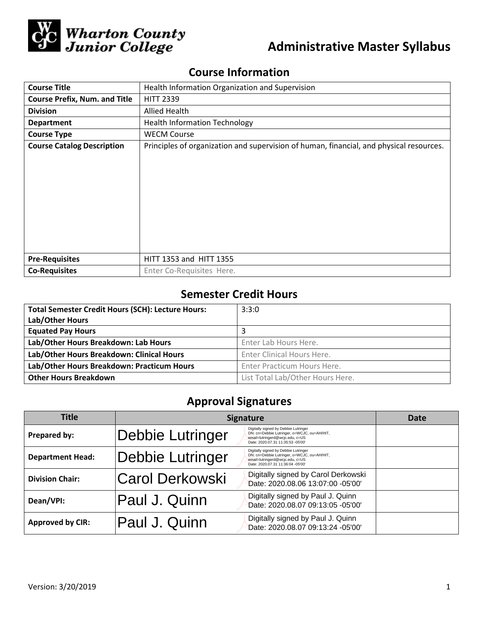

# **Administrative Master Syllabus**

## **Course Information**

| <b>Course Title</b>                  | Health Information Organization and Supervision                                         |  |  |
|--------------------------------------|-----------------------------------------------------------------------------------------|--|--|
| <b>Course Prefix, Num. and Title</b> | <b>HITT 2339</b>                                                                        |  |  |
| <b>Division</b>                      | Allied Health                                                                           |  |  |
| <b>Department</b>                    | <b>Health Information Technology</b>                                                    |  |  |
| <b>Course Type</b>                   | <b>WECM Course</b>                                                                      |  |  |
| <b>Course Catalog Description</b>    | Principles of organization and supervision of human, financial, and physical resources. |  |  |
|                                      |                                                                                         |  |  |
|                                      |                                                                                         |  |  |
| <b>Pre-Requisites</b>                | HITT 1353 and HITT 1355                                                                 |  |  |
| <b>Co-Requisites</b>                 | Enter Co-Requisites Here.                                                               |  |  |

## **Semester Credit Hours**

| <b>Total Semester Credit Hours (SCH): Lecture Hours:</b> | 3:3:0                            |
|----------------------------------------------------------|----------------------------------|
| Lab/Other Hours                                          |                                  |
| <b>Equated Pay Hours</b>                                 | 3                                |
| Lab/Other Hours Breakdown: Lab Hours                     | Enter Lab Hours Here.            |
| Lab/Other Hours Breakdown: Clinical Hours                | Enter Clinical Hours Here.       |
| Lab/Other Hours Breakdown: Practicum Hours               | Enter Practicum Hours Here.      |
| <b>Other Hours Breakdown</b>                             | List Total Lab/Other Hours Here. |

## **Approval Signatures**

| <b>Title</b>            | <b>Signature</b> |                                                                                                                                                             | Date |
|-------------------------|------------------|-------------------------------------------------------------------------------------------------------------------------------------------------------------|------|
| Prepared by:            | Debbie Lutringer | Digitally signed by Debbie Lutringer<br>DN: cn=Debbie Lutringer, o=WCJC, ou=AH/HIT,<br>email=lutringerd@wcjc.edu, c=US<br>Date: 2020.07.31 11:35:53 -05'00' |      |
| <b>Department Head:</b> | Debbie Lutringer | Digitally signed by Debbie Lutringer<br>DN: cn=Debbie Lutringer, o=WCJC, ou=AH/HIT,<br>email=lutringerd@wcjc.edu, c=US<br>Date: 2020.07.31 11:36:04 -05'00' |      |
| <b>Division Chair:</b>  | Carol Derkowski  | Digitally signed by Carol Derkowski<br>Date: 2020.08.06 13:07:00 -05'00'                                                                                    |      |
| Dean/VPI:               | Paul J. Quinn    | Digitally signed by Paul J. Quinn<br>Date: 2020.08.07 09:13:05 -05'00'                                                                                      |      |
| <b>Approved by CIR:</b> | Paul J. Quinn    | Digitally signed by Paul J. Quinn<br>Date: 2020.08.07 09:13:24 -05'00'                                                                                      |      |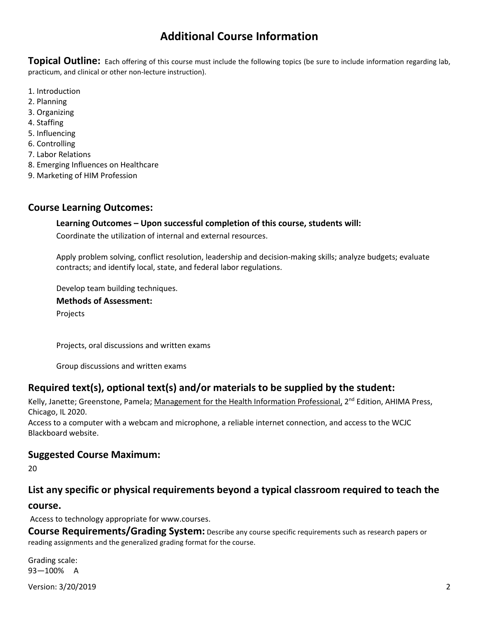## **Additional Course Information**

**Topical Outline:** Each offering of this course must include the following topics (be sure to include information regarding lab, practicum, and clinical or other non-lecture instruction).

- 1. Introduction
- 2. Planning
- 3. Organizing
- 4. Staffing
- 5. Influencing
- 6. Controlling
- 7. Labor Relations
- 8. Emerging Influences on Healthcare
- 9. Marketing of HIM Profession

### **Course Learning Outcomes:**

#### **Learning Outcomes – Upon successful completion of this course, students will:**

Coordinate the utilization of internal and external resources.

Apply problem solving, conflict resolution, leadership and decision-making skills; analyze budgets; evaluate contracts; and identify local, state, and federal labor regulations.

Develop team building techniques.

**Methods of Assessment:**  Projects

Projects, oral discussions and written exams

Group discussions and written exams

### **Required text(s), optional text(s) and/or materials to be supplied by the student:**

Kelly, Janette; Greenstone, Pamela; Management for the Health Information Professional, 2<sup>nd</sup> Edition, AHIMA Press, Chicago, IL 2020.

Access to a computer with a webcam and microphone, a reliable internet connection, and access to the WCJC Blackboard website.

### **Suggested Course Maximum:**

20

### **List any specific or physical requirements beyond a typical classroom required to teach the**

#### **course.**

Access to technology appropriate for www.courses.

**Course Requirements/Grading System:** Describe any course specific requirements such as research papers or reading assignments and the generalized grading format for the course.

Grading scale: 93—100% A

Version: 3/20/2019 2